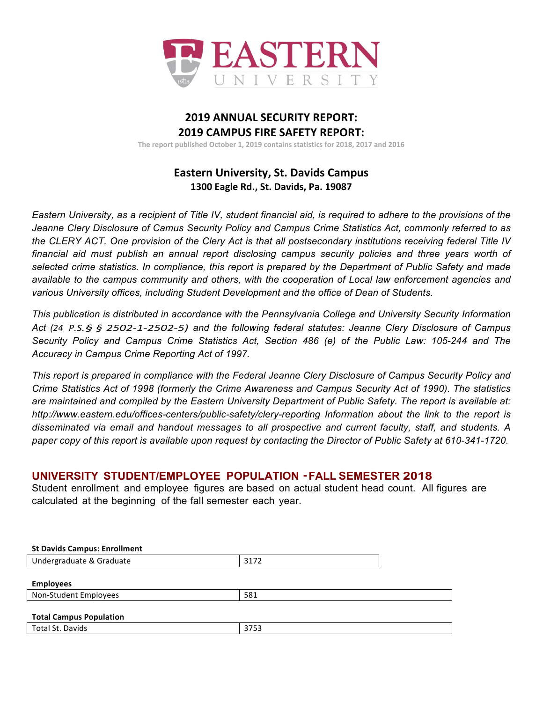

# **2019 ANNUAL SECURITY REPORT: 2019 CAMPUS FIRE SAFETY REPORT:**

The report published October 1, 2019 contains statistics for 2018, 2017 and 2016

# **Eastern University, St. Davids Campus 1300 Eagle Rd., St. Davids, Pa. 19087**

*Eastern University, as a recipient of Title IV, student financial aid, is required to adhere to the provisions of the Jeanne Clery Disclosure of Camus Security Policy and Campus Crime Statistics Act, commonly referred to as the CLERY ACT. One provision of the Clery Act is that all postsecondary institutions receiving federal Title IV financial aid must publish an annual report disclosing campus security policies and three years worth of selected crime statistics. In compliance, this report is prepared by the Department of Public Safety and made available to the campus community and others, with the cooperation of Local law enforcement agencies and various University offices, including Student Development and the office of Dean of Students.* 

*This publication is distributed in accordance with the Pennsylvania College and University Security Information Act (24 P.S.§ § 2502-1-2502-5) and the following federal statutes: Jeanne Clery Disclosure of Campus Security Policy and Campus Crime Statistics Act, Section 486 (e) of the Public Law: 105-244 and The Accuracy in Campus Crime Reporting Act of 1997.*

*This report is prepared in compliance with the Federal Jeanne Clery Disclosure of Campus Security Policy and Crime Statistics Act of 1998 (formerly the Crime Awareness and Campus Security Act of 1990). The statistics are maintained and compiled by the Eastern University Department of Public Safety. The report is available at: http://www.eastern.edu/offices-centers/public-safety/clery-reporting Information about the link to the report is disseminated via email and handout messages to all prospective and current faculty, staff, and students. A paper copy of this report is available upon request by contacting the Director of Public Safety at 610-341-1720*. 

## **UNIVERSITY STUDENT/EMPLOYEE POPULATION ·FALL SEMESTER <sup>2018</sup>**

Student enrollment and employee figures are based on actual student head count. All figures are calculated at the beginning of the fall semester each year.

| <b>St Davids Campus: Enrollment</b> |      |
|-------------------------------------|------|
| Undergraduate & Graduate            | 3172 |
|                                     |      |
| <b>Employees</b>                    |      |
| Non-Student Employees               | 581  |
|                                     |      |
| <b>Total Campus Population</b>      |      |
| Total St. Davids                    | 3753 |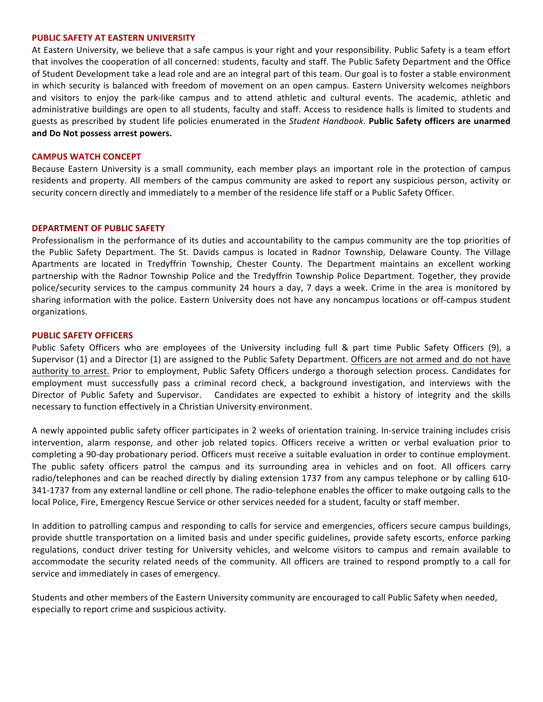#### **PUBLIC SAFETY AT EASTERN UNIVERSITY**

At Eastern University, we believe that a safe campus is your right and your responsibility. Public Safety is a team effort that involves the cooperation of all concerned: students, faculty and staff. The Public Safety Department and the Office of Student Development take a lead role and are an integral part of this team. Our goal is to foster a stable environment in which security is balanced with freedom of movement on an open campus. Eastern University welcomes neighbors and visitors to enjoy the park-like campus and to attend athletic and cultural events. The academic, athletic and administrative buildings are open to all students, faculty and staff. Access to residence halls is limited to students and guests as prescribed by student life policies enumerated in the *Student Handbook*. Public Safety officers are unarmed and Do Not possess arrest powers.

#### **CAMPUS WATCH CONCEPT**

Because Eastern University is a small community, each member plays an important role in the protection of campus residents and property. All members of the campus community are asked to report any suspicious person, activity or security concern directly and immediately to a member of the residence life staff or a Public Safety Officer.

#### **DEPARTMENT OF PUBLIC SAFETY**

Professionalism in the performance of its duties and accountability to the campus community are the top priorities of the Public Safety Department. The St. Davids campus is located in Radnor Township, Delaware County. The Village Apartments are located in Tredyffrin Township, Chester County. The Department maintains an excellent working partnership with the Radnor Township Police and the Tredyffrin Township Police Department. Together, they provide police/security services to the campus community 24 hours a day, 7 days a week. Crime in the area is monitored by sharing information with the police. Eastern University does not have any noncampus locations or off-campus student organizations.

#### **PUBLIC SAFETY OFFICERS**

Public Safety Officers who are employees of the University including full & part time Public Safety Officers (9), a Supervisor (1) and a Director (1) are assigned to the Public Safety Department. Officers are not armed and do not have authority to arrest. Prior to employment, Public Safety Officers undergo a thorough selection process. Candidates for employment must successfully pass a criminal record check, a background investigation, and interviews with the Director of Public Safety and Supervisor. Candidates are expected to exhibit a history of integrity and the skills necessary to function effectively in a Christian University environment.

A newly appointed public safety officer participates in 2 weeks of orientation training. In-service training includes crisis intervention, alarm response, and other job related topics. Officers receive a written or verbal evaluation prior to completing a 90-day probationary period. Officers must receive a suitable evaluation in order to continue employment. The public safety officers patrol the campus and its surrounding area in vehicles and on foot. All officers carry radio/telephones and can be reached directly by dialing extension 1737 from any campus telephone or by calling 610-341-1737 from any external landline or cell phone. The radio-telephone enables the officer to make outgoing calls to the local Police, Fire, Emergency Rescue Service or other services needed for a student, faculty or staff member.

In addition to patrolling campus and responding to calls for service and emergencies, officers secure campus buildings, provide shuttle transportation on a limited basis and under specific guidelines, provide safety escorts, enforce parking regulations, conduct driver testing for University vehicles, and welcome visitors to campus and remain available to accommodate the security related needs of the community. All officers are trained to respond promptly to a call for service and immediately in cases of emergency.

Students and other members of the Eastern University community are encouraged to call Public Safety when needed, especially to report crime and suspicious activity.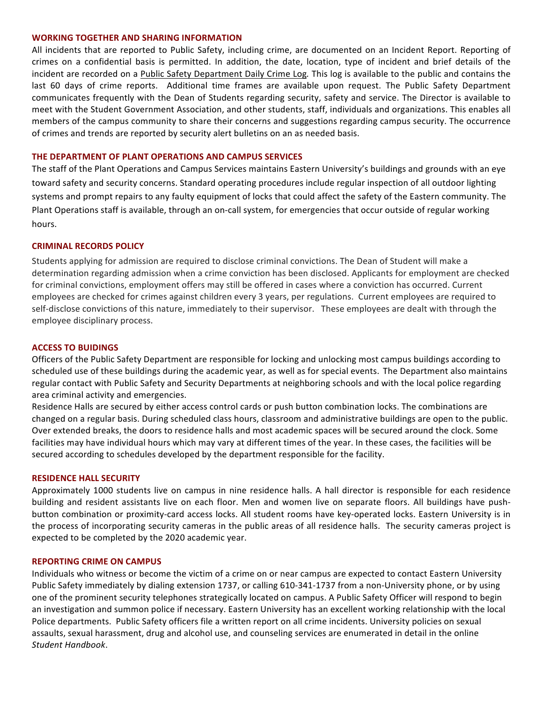#### **WORKING TOGETHER AND SHARING INFORMATION**

All incidents that are reported to Public Safety, including crime, are documented on an Incident Report. Reporting of crimes on a confidential basis is permitted. In addition, the date, location, type of incident and brief details of the incident are recorded on a Public Safety Department Daily Crime Log. This log is available to the public and contains the last 60 days of crime reports. Additional time frames are available upon request. The Public Safety Department communicates frequently with the Dean of Students regarding security, safety and service. The Director is available to meet with the Student Government Association, and other students, staff, individuals and organizations. This enables all members of the campus community to share their concerns and suggestions regarding campus security. The occurrence of crimes and trends are reported by security alert bulletins on an as needed basis.

### **THE DEPARTMENT OF PLANT OPERATIONS AND CAMPUS SERVICES**

The staff of the Plant Operations and Campus Services maintains Eastern University's buildings and grounds with an eye toward safety and security concerns. Standard operating procedures include regular inspection of all outdoor lighting systems and prompt repairs to any faulty equipment of locks that could affect the safety of the Eastern community. The Plant Operations staff is available, through an on-call system, for emergencies that occur outside of regular working hours.

### **CRIMINAL RECORDS POLICY**

Students applying for admission are required to disclose criminal convictions. The Dean of Student will make a determination regarding admission when a crime conviction has been disclosed. Applicants for employment are checked for criminal convictions, employment offers may still be offered in cases where a conviction has occurred. Current employees are checked for crimes against children every 3 years, per regulations. Current employees are required to self-disclose convictions of this nature, immediately to their supervisor. These employees are dealt with through the employee disciplinary process.

### **ACCESS TO BUIDINGS**

Officers of the Public Safety Department are responsible for locking and unlocking most campus buildings according to scheduled use of these buildings during the academic year, as well as for special events. The Department also maintains regular contact with Public Safety and Security Departments at neighboring schools and with the local police regarding area criminal activity and emergencies.

Residence Halls are secured by either access control cards or push button combination locks. The combinations are changed on a regular basis. During scheduled class hours, classroom and administrative buildings are open to the public. Over extended breaks, the doors to residence halls and most academic spaces will be secured around the clock. Some facilities may have individual hours which may vary at different times of the year. In these cases, the facilities will be secured according to schedules developed by the department responsible for the facility.

### **RESIDENCE HALL SECURITY**

Approximately 1000 students live on campus in nine residence halls. A hall director is responsible for each residence building and resident assistants live on each floor. Men and women live on separate floors. All buildings have pushbutton combination or proximity-card access locks. All student rooms have key-operated locks. Eastern University is in the process of incorporating security cameras in the public areas of all residence halls. The security cameras project is expected to be completed by the 2020 academic year.

### **REPORTING CRIME ON CAMPUS**

Individuals who witness or become the victim of a crime on or near campus are expected to contact Eastern University Public Safety immediately by dialing extension 1737, or calling 610-341-1737 from a non-University phone, or by using one of the prominent security telephones strategically located on campus. A Public Safety Officer will respond to begin an investigation and summon police if necessary. Eastern University has an excellent working relationship with the local Police departments. Public Safety officers file a written report on all crime incidents. University policies on sexual assaults, sexual harassment, drug and alcohol use, and counseling services are enumerated in detail in the online *Student Handbook*.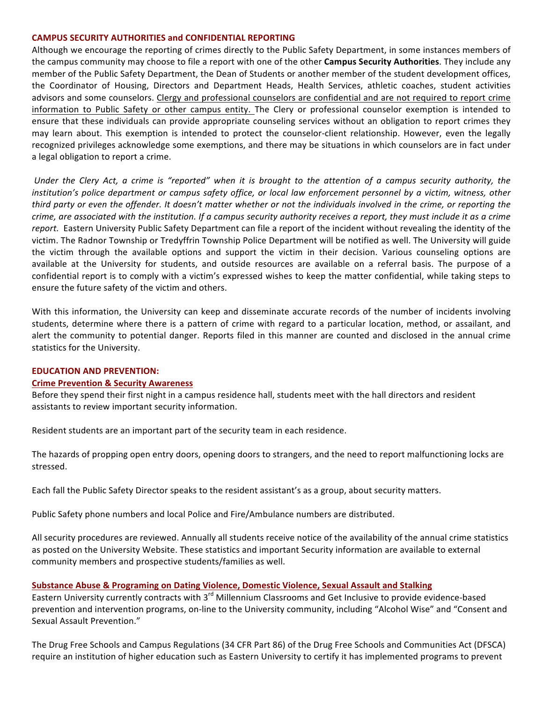### **CAMPUS SECURITY AUTHORITIES and CONFIDENTIAL REPORTING**

Although we encourage the reporting of crimes directly to the Public Safety Department, in some instances members of the campus community may choose to file a report with one of the other **Campus Security Authorities**. They include any member of the Public Safety Department, the Dean of Students or another member of the student development offices, the Coordinator of Housing, Directors and Department Heads, Health Services, athletic coaches, student activities advisors and some counselors. Clergy and professional counselors are confidential and are not required to report crime information to Public Safety or other campus entity. The Clery or professional counselor exemption is intended to ensure that these individuals can provide appropriate counseling services without an obligation to report crimes they may learn about. This exemption is intended to protect the counselor-client relationship. However, even the legally recognized privileges acknowledge some exemptions, and there may be situations in which counselors are in fact under a legal obligation to report a crime.

*Under* the Clery Act, a crime is "reported" when it is brought to the attention of a campus security authority, the *institution's police department or campus safety office, or local law enforcement personnel by a victim, witness, other third* party or even the offender. It doesn't matter whether or not the individuals involved in the crime, or reporting the *crime, are associated with the institution. If a campus security authority receives a report, they must include it as a crime* report. Eastern University Public Safety Department can file a report of the incident without revealing the identity of the victim. The Radnor Township or Tredyffrin Township Police Department will be notified as well. The University will guide the victim through the available options and support the victim in their decision. Various counseling options are available at the University for students, and outside resources are available on a referral basis. The purpose of a confidential report is to comply with a victim's expressed wishes to keep the matter confidential, while taking steps to ensure the future safety of the victim and others.

With this information, the University can keep and disseminate accurate records of the number of incidents involving students, determine where there is a pattern of crime with regard to a particular location, method, or assailant, and alert the community to potential danger. Reports filed in this manner are counted and disclosed in the annual crime statistics for the University.

### **EDUCATION AND PREVENTION:**

### **Crime Prevention & Security Awareness**

Before they spend their first night in a campus residence hall, students meet with the hall directors and resident assistants to review important security information.

Resident students are an important part of the security team in each residence.

The hazards of propping open entry doors, opening doors to strangers, and the need to report malfunctioning locks are stressed.

Each fall the Public Safety Director speaks to the resident assistant's as a group, about security matters.

Public Safety phone numbers and local Police and Fire/Ambulance numbers are distributed.

All security procedures are reviewed. Annually all students receive notice of the availability of the annual crime statistics as posted on the University Website. These statistics and important Security information are available to external community members and prospective students/families as well.

### Substance Abuse & Programing on Dating Violence, Domestic Violence, Sexual Assault and Stalking

Eastern University currently contracts with 3<sup>rd</sup> Millennium Classrooms and Get Inclusive to provide evidence-based prevention and intervention programs, on-line to the University community, including "Alcohol Wise" and "Consent and Sexual Assault Prevention."

The Drug Free Schools and Campus Regulations (34 CFR Part 86) of the Drug Free Schools and Communities Act (DFSCA) require an institution of higher education such as Eastern University to certify it has implemented programs to prevent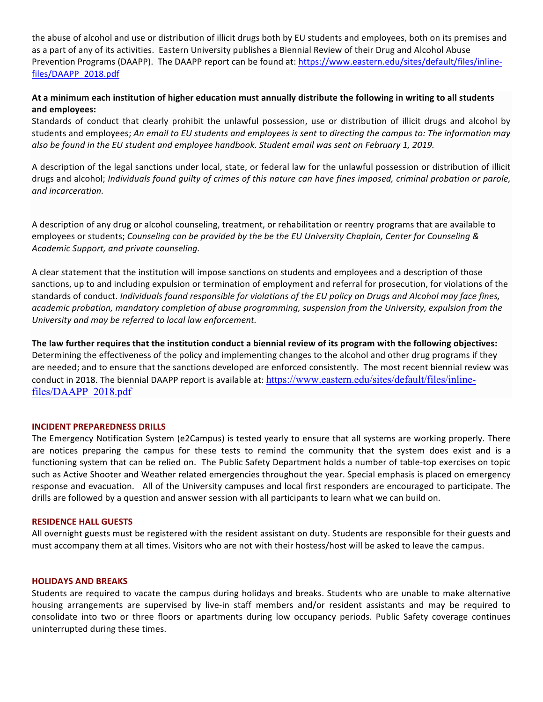the abuse of alcohol and use or distribution of illicit drugs both by EU students and employees, both on its premises and as a part of any of its activities. Eastern University publishes a Biennial Review of their Drug and Alcohol Abuse Prevention Programs (DAAPP). The DAAPP report can be found at: https://www.eastern.edu/sites/default/files/inlinefiles/DAAPP\_2018.pdf

### At a minimum each institution of higher education must annually distribute the following in writing to all students **and employees:**

Standards of conduct that clearly prohibit the unlawful possession, use or distribution of illicit drugs and alcohol by students and employees; An email to EU students and employees is sent to directing the campus to: The information may also be found in the EU student and employee handbook. Student email was sent on February 1, 2019.

A description of the legal sanctions under local, state, or federal law for the unlawful possession or distribution of illicit drugs and alcohol; *Individuals found guilty of crimes of this nature can have fines imposed, criminal probation or parole, and incarceration.*

A description of any drug or alcohol counseling, treatment, or rehabilitation or reentry programs that are available to employees or students; *Counseling can be provided by the be the EU University Chaplain, Center for Counseling & Academic Support, and private counseling.*

A clear statement that the institution will impose sanctions on students and employees and a description of those sanctions, up to and including expulsion or termination of employment and referral for prosecution, for violations of the standards of conduct. *Individuals found responsible for violations of the EU policy on Drugs and Alcohol may face fines,* academic probation, mandatory completion of abuse programming, suspension from the University, expulsion from the *University* and may be referred to local law enforcement.

The law further requires that the institution conduct a biennial review of its program with the following objectives: Determining the effectiveness of the policy and implementing changes to the alcohol and other drug programs if they are needed; and to ensure that the sanctions developed are enforced consistently. The most recent biennial review was conduct in 2018. The biennial DAAPP report is available at: https://www.eastern.edu/sites/default/files/inlinefiles/DAAPP\_2018.pdf

### **INCIDENT PREPAREDNESS DRILLS**

The Emergency Notification System (e2Campus) is tested yearly to ensure that all systems are working properly. There are notices preparing the campus for these tests to remind the community that the system does exist and is a functioning system that can be relied on. The Public Safety Department holds a number of table-top exercises on topic such as Active Shooter and Weather related emergencies throughout the year. Special emphasis is placed on emergency response and evacuation. All of the University campuses and local first responders are encouraged to participate. The drills are followed by a question and answer session with all participants to learn what we can build on.

### **RESIDENCE HALL GUESTS**

All overnight guests must be registered with the resident assistant on duty. Students are responsible for their guests and must accompany them at all times. Visitors who are not with their hostess/host will be asked to leave the campus.

### **HOLIDAYS AND BREAKS**

Students are required to vacate the campus during holidays and breaks. Students who are unable to make alternative housing arrangements are supervised by live-in staff members and/or resident assistants and may be required to consolidate into two or three floors or apartments during low occupancy periods. Public Safety coverage continues uninterrupted during these times.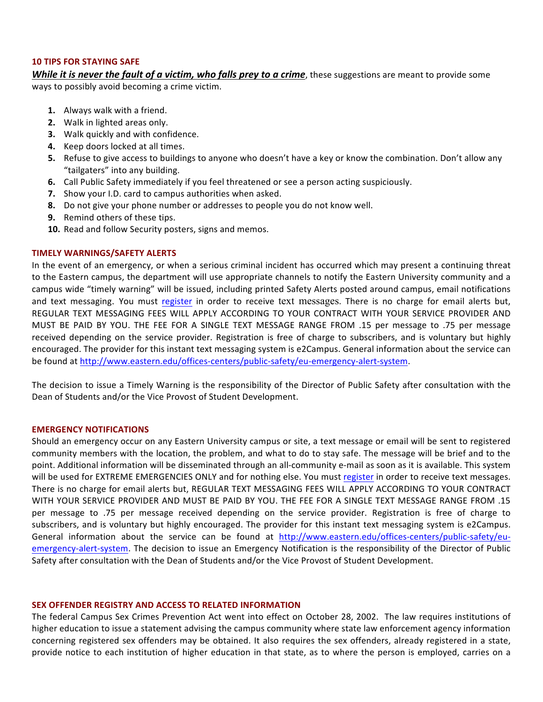#### **10 TIPS FOR STAYING SAFE**

*While it is never the fault of a victim, who falls prey to a crime, these suggestions are meant to provide some* ways to possibly avoid becoming a crime victim.

- **1.** Always walk with a friend.
- **2.** Walk in lighted areas only.
- **3.** Walk quickly and with confidence.
- **4.** Keep doors locked at all times.
- **5.** Refuse to give access to buildings to anyone who doesn't have a key or know the combination. Don't allow any "tailgaters" into any building.
- **6.** Call Public Safety immediately if you feel threatened or see a person acting suspiciously.
- **7.** Show your I.D. card to campus authorities when asked.
- **8.** Do not give your phone number or addresses to people you do not know well.
- **9.** Remind others of these tips.
- 10. Read and follow Security posters, signs and memos.

### **TIMELY WARNINGS/SAFETY ALERTS**

In the event of an emergency, or when a serious criminal incident has occurred which may present a continuing threat to the Eastern campus, the department will use appropriate channels to notify the Eastern University community and a campus wide "timely warning" will be issued, including printed Safety Alerts posted around campus, email notifications and text messaging. You must register in order to receive text messages. There is no charge for email alerts but, REGULAR TEXT MESSAGING FEES WILL APPLY ACCORDING TO YOUR CONTRACT WITH YOUR SERVICE PROVIDER AND MUST BE PAID BY YOU. THE FEE FOR A SINGLE TEXT MESSAGE RANGE FROM .15 per message to .75 per message received depending on the service provider. Registration is free of charge to subscribers, and is voluntary but highly encouraged. The provider for this instant text messaging system is e2Campus. General information about the service can be found at http://www.eastern.edu/offices-centers/public-safety/eu-emergency-alert-system.

The decision to issue a Timely Warning is the responsibility of the Director of Public Safety after consultation with the Dean of Students and/or the Vice Provost of Student Development.

### **EMERGENCY NOTIFICATIONS**

Should an emergency occur on any Eastern University campus or site, a text message or email will be sent to registered community members with the location, the problem, and what to do to stay safe. The message will be brief and to the point. Additional information will be disseminated through an all-community e-mail as soon as it is available. This system will be used for EXTREME EMERGENCIES ONLY and for nothing else. You must register in order to receive text messages. There is no charge for email alerts but, REGULAR TEXT MESSAGING FEES WILL APPLY ACCORDING TO YOUR CONTRACT WITH YOUR SERVICE PROVIDER AND MUST BE PAID BY YOU. THE FEE FOR A SINGLE TEXT MESSAGE RANGE FROM .15 per message to .75 per message received depending on the service provider. Registration is free of charge to subscribers, and is voluntary but highly encouraged. The provider for this instant text messaging system is e2Campus. General information about the service can be found at http://www.eastern.edu/offices-centers/public-safety/euemergency-alert-system. The decision to issue an Emergency Notification is the responsibility of the Director of Public Safety after consultation with the Dean of Students and/or the Vice Provost of Student Development.

#### **SEX OFFENDER REGISTRY AND ACCESS TO RELATED INFORMATION**

The federal Campus Sex Crimes Prevention Act went into effect on October 28, 2002. The law requires institutions of higher education to issue a statement advising the campus community where state law enforcement agency information concerning registered sex offenders may be obtained. It also requires the sex offenders, already registered in a state, provide notice to each institution of higher education in that state, as to where the person is employed, carries on a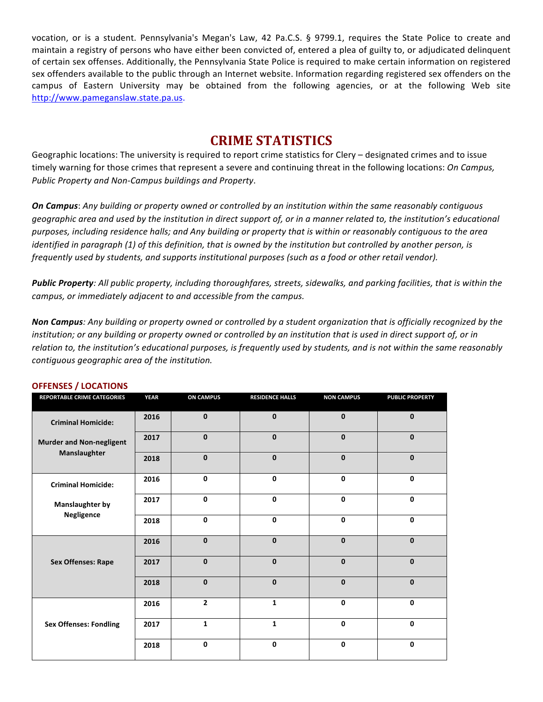vocation, or is a student. Pennsylvania's Megan's Law, 42 Pa.C.S. § 9799.1, requires the State Police to create and maintain a registry of persons who have either been convicted of, entered a plea of guilty to, or adjudicated delinquent of certain sex offenses. Additionally, the Pennsylvania State Police is required to make certain information on registered sex offenders available to the public through an Internet website. Information regarding registered sex offenders on the campus of Eastern University may be obtained from the following agencies, or at the following Web site http://www.pameganslaw.state.pa.us.

# **CRIME STATISTICS**

Geographic locations: The university is required to report crime statistics for Clery – designated crimes and to issue timely warning for those crimes that represent a severe and continuing threat in the following locations: *On Campus, Public Property and Non-Campus buildings and Property*. 

**On Campus**: Any building or property owned or controlled by an institution within the same reasonably contiguous geographic area and used by the institution in direct support of, or in a manner related to, the institution's educational purposes, including residence halls; and Any building or property that is within or reasonably contiguous to the area *identified in paragraph (1) of this definition, that is owned by the institution but controlled by another person, is frequently used by students, and supports institutional purposes (such as a food or other retail vendor).* 

Public Property: All public property, including thoroughfares, streets, sidewalks, and parking facilities, that is within the campus, or immediately adjacent to and accessible from the campus.

**Non Campus**: Any building or property owned or controlled by a student organization that is officially recognized by the *institution;* or any building or property owned or controlled by an institution that is used in direct support of, or in *relation to, the institution's educational purposes, is frequently used by students, and is not within the same reasonably contiguous geographic area of the institution.*

| REPORTABLE CRIME CATEGORIES     | <b>YEAR</b> | <b>ON CAMPUS</b> | <b>RESIDENCE HALLS</b> | <b>NON CAMPUS</b> | <b>PUBLIC PROPERTY</b> |
|---------------------------------|-------------|------------------|------------------------|-------------------|------------------------|
| <b>Criminal Homicide:</b>       | 2016        | $\mathbf 0$      | $\mathbf{0}$           | $\mathbf{0}$      | $\mathbf{0}$           |
| <b>Murder and Non-negligent</b> | 2017        | $\mathbf 0$      | $\mathbf{0}$           | $\mathbf{0}$      | $\mathbf{0}$           |
| Manslaughter                    | 2018        | $\mathbf 0$      | $\mathbf{0}$           | $\mathbf{0}$      | $\mathbf{0}$           |
| <b>Criminal Homicide:</b>       | 2016        | 0                | 0                      | 0                 | 0                      |
| <b>Manslaughter by</b>          | 2017        | 0                | $\mathbf{0}$           | 0                 | 0                      |
| Negligence                      | 2018        | 0                | $\mathbf 0$            | 0                 | 0                      |
|                                 | 2016        | $\mathbf 0$      | $\mathbf{0}$           | $\mathbf{0}$      | $\mathbf{0}$           |
| <b>Sex Offenses: Rape</b>       | 2017        | $\mathbf 0$      | $\mathbf{0}$           | $\mathbf{0}$      | $\mathbf{0}$           |
|                                 | 2018        | $\mathbf{0}$     | $\mathbf{0}$           | $\mathbf{0}$      | $\Omega$               |
|                                 | 2016        | $\overline{2}$   | $\mathbf{1}$           | $\mathbf{0}$      | $\Omega$               |
| <b>Sex Offenses: Fondling</b>   | 2017        | $\mathbf{1}$     | $\mathbf{1}$           | 0                 | 0                      |
|                                 | 2018        | 0                | 0                      | 0                 | 0                      |

#### **OFFENSES / LOCATIONS**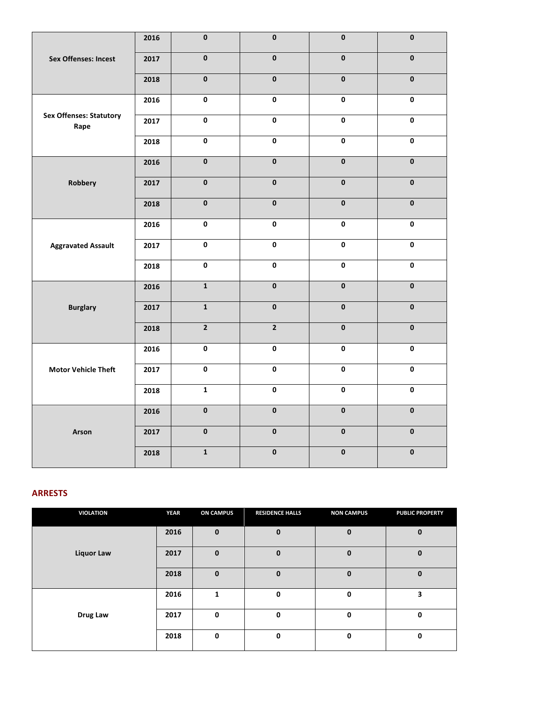|                                | 2016 | $\overline{\mathbf{0}}$ | $\pmb{0}$               | $\pmb{0}$               | $\pmb{0}$               |
|--------------------------------|------|-------------------------|-------------------------|-------------------------|-------------------------|
| <b>Sex Offenses: Incest</b>    | 2017 | $\overline{\mathbf{0}}$ | $\overline{\mathbf{0}}$ | $\overline{\mathbf{0}}$ | $\overline{\mathbf{0}}$ |
|                                | 2018 | $\overline{\mathbf{0}}$ | $\pmb{0}$               | $\overline{\mathbf{0}}$ | $\pmb{0}$               |
| <b>Sex Offenses: Statutory</b> | 2016 | $\overline{\mathbf{0}}$ | $\overline{\mathbf{0}}$ | $\overline{\mathbf{0}}$ | $\overline{\mathbf{0}}$ |
| Rape                           | 2017 | $\pmb{0}$               | $\mathbf 0$             | $\mathbf 0$             | $\pmb{0}$               |
|                                | 2018 | $\pmb{0}$               | 0                       | $\pmb{0}$               | 0                       |
|                                | 2016 | $\pmb{0}$               | $\pmb{0}$               | $\pmb{0}$               | $\mathbf 0$             |
| Robbery                        | 2017 | $\overline{\mathbf{0}}$ | $\pmb{0}$               | $\pmb{0}$               | $\pmb{\mathsf{0}}$      |
|                                | 2018 | $\overline{\mathbf{0}}$ | $\overline{\mathbf{0}}$ | $\overline{\mathbf{0}}$ | $\overline{\mathbf{0}}$ |
|                                | 2016 | $\pmb{0}$               | 0                       | $\pmb{0}$               | $\pmb{0}$               |
| <b>Aggravated Assault</b>      | 2017 | $\overline{\mathbf{0}}$ | $\pmb{0}$               | $\pmb{0}$               | $\pmb{0}$               |
|                                | 2018 | $\pmb{0}$               | $\pmb{0}$               | $\pmb{0}$               | 0                       |
|                                | 2016 | $\overline{1}$          | $\overline{\mathbf{0}}$ | $\overline{\mathbf{0}}$ | $\overline{\mathbf{0}}$ |
| <b>Burglary</b>                | 2017 | $\overline{\mathbf{1}}$ | $\overline{\mathbf{0}}$ | $\overline{\mathbf{0}}$ | $\overline{\mathbf{0}}$ |
|                                | 2018 | $\overline{2}$          | $\overline{2}$          | $\overline{\mathbf{0}}$ | $\overline{\mathbf{0}}$ |
|                                | 2016 | $\pmb{0}$               | 0                       | 0                       | 0                       |
| <b>Motor Vehicle Theft</b>     | 2017 | $\pmb{0}$               | $\mathbf 0$             | $\pmb{0}$               | $\pmb{0}$               |
|                                | 2018 | $\mathbf{1}$            | $\mathbf 0$             | $\pmb{0}$               | $\pmb{0}$               |
|                                | 2016 | $\pmb{0}$               | $\pmb{0}$               | $\pmb{0}$               | $\pmb{0}$               |
| Arson                          | 2017 | $\pmb{0}$               | $\mathbf{0}$            | $\pmb{0}$               | $\pmb{0}$               |
|                                | 2018 | $\mathbf{1}$            | $\pmb{0}$               | $\pmb{0}$               | $\pmb{0}$               |

### **ARRESTS**

| <b>VIOLATION</b>  | <b>YEAR</b> | <b>ON CAMPUS</b> | <b>RESIDENCE HALLS</b> | <b>NON CAMPUS</b> | <b>PUBLIC PROPERTY</b> |
|-------------------|-------------|------------------|------------------------|-------------------|------------------------|
|                   | 2016        | $\bf{0}$         | $\mathbf 0$            | $\mathbf{0}$      | 0                      |
| <b>Liquor Law</b> | 2017        | $\bf{0}$         | $\mathbf{0}$           | $\mathbf{0}$      | $\mathbf 0$            |
|                   | 2018        | $\bf{0}$         | $\Omega$               | $\mathbf{0}$      | $\mathbf 0$            |
|                   | 2016        | 1                | 0                      | $\mathbf 0$       | 3                      |
| Drug Law          | 2017        | $\mathbf 0$      | 0                      | $\mathbf 0$       | 0                      |
|                   | 2018        | 0                | 0                      | 0                 | 0                      |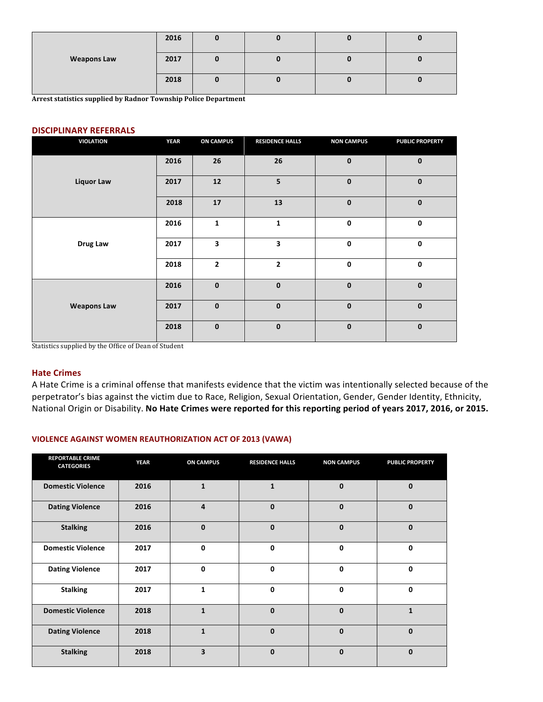|                    | 2016 |  |  |
|--------------------|------|--|--|
| <b>Weapons Law</b> | 2017 |  |  |
|                    | 2018 |  |  |

**Arrest statistics supplied by Radnor Township Police Department** 

#### **DISCIPLINARY REFERRALS**

| <b>VIOLATION</b>   | <b>YEAR</b> | <b>ON CAMPUS</b> | <b>RESIDENCE HALLS</b> | <b>NON CAMPUS</b> | <b>PUBLIC PROPERTY</b> |
|--------------------|-------------|------------------|------------------------|-------------------|------------------------|
|                    | 2016        | 26               | 26                     | $\mathbf 0$       | $\mathbf 0$            |
| <b>Liquor Law</b>  | 2017        | 12               | 5                      | $\mathbf 0$       | $\mathbf 0$            |
|                    | 2018        | 17               | 13                     | $\mathbf 0$       | $\mathbf 0$            |
|                    | 2016        | $\mathbf 1$      | $\mathbf{1}$           | $\pmb{0}$         | $\mathbf 0$            |
| Drug Law           | 2017        | 3                | 3                      | $\mathbf 0$       | $\pmb{0}$              |
|                    | 2018        | $\mathbf{2}$     | $\overline{2}$         | $\pmb{0}$         | $\mathbf 0$            |
|                    | 2016        | $\mathbf 0$      | $\mathbf{0}$           | $\mathbf 0$       | $\mathbf 0$            |
| <b>Weapons Law</b> | 2017        | $\mathbf 0$      | $\mathbf{0}$           | $\mathbf{0}$      | $\mathbf 0$            |
|                    | 2018        | $\pmb{0}$        | $\mathbf 0$            | $\mathbf 0$       | $\mathbf 0$            |

Statistics supplied by the Office of Dean of Student

#### **Hate Crimes**

A Hate Crime is a criminal offense that manifests evidence that the victim was intentionally selected because of the perpetrator's bias against the victim due to Race, Religion, Sexual Orientation, Gender, Gender Identity, Ethnicity, National Origin or Disability. No Hate Crimes were reported for this reporting period of years 2017, 2016, or 2015.

### **VIOLENCE AGAINST WOMEN REAUTHORIZATION ACT OF 2013 (VAWA)**

| <b>REPORTABLE CRIME</b><br><b>CATEGORIES</b> | <b>YEAR</b> | <b>ON CAMPUS</b>        | <b>RESIDENCE HALLS</b> | <b>NON CAMPUS</b> | <b>PUBLIC PROPERTY</b> |
|----------------------------------------------|-------------|-------------------------|------------------------|-------------------|------------------------|
| <b>Domestic Violence</b>                     | 2016        | $\mathbf{1}$            | 1                      | $\mathbf{0}$      | 0                      |
| <b>Dating Violence</b>                       | 2016        | $\overline{a}$          | $\mathbf{0}$           | $\mathbf{0}$      | $\mathbf{0}$           |
| <b>Stalking</b>                              | 2016        | $\mathbf{0}$            | $\mathbf{0}$           | $\mathbf{0}$      | $\mathbf 0$            |
| <b>Domestic Violence</b>                     | 2017        | $\mathbf{0}$            | 0                      | $\mathbf 0$       | $\mathbf 0$            |
| <b>Dating Violence</b>                       | 2017        | $\mathbf 0$             | 0                      | $\mathbf{0}$      | $\mathbf 0$            |
| <b>Stalking</b>                              | 2017        | $\mathbf{1}$            | 0                      | $\mathbf{0}$      | $\mathbf 0$            |
| <b>Domestic Violence</b>                     | 2018        | $\mathbf{1}$            | $\mathbf{0}$           | $\mathbf{0}$      | $\mathbf{1}$           |
| <b>Dating Violence</b>                       | 2018        | $\mathbf{1}$            | $\Omega$               | $\Omega$          | $\mathbf{0}$           |
| <b>Stalking</b>                              | 2018        | $\overline{\mathbf{3}}$ | $\mathbf{0}$           | $\mathbf{0}$      | $\mathbf{0}$           |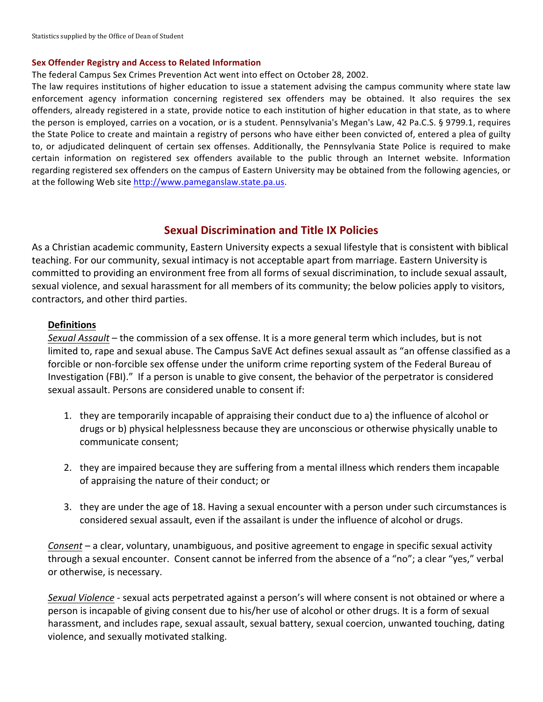### **Sex Offender Registry and Access to Related Information**

The federal Campus Sex Crimes Prevention Act went into effect on October 28, 2002.

The law requires institutions of higher education to issue a statement advising the campus community where state law enforcement agency information concerning registered sex offenders may be obtained. It also requires the sex offenders, already registered in a state, provide notice to each institution of higher education in that state, as to where the person is employed, carries on a vocation, or is a student. Pennsylvania's Megan's Law, 42 Pa.C.S. § 9799.1, requires the State Police to create and maintain a registry of persons who have either been convicted of, entered a plea of guilty to, or adjudicated delinquent of certain sex offenses. Additionally, the Pennsylvania State Police is required to make certain information on registered sex offenders available to the public through an Internet website. Information regarding registered sex offenders on the campus of Eastern University may be obtained from the following agencies, or at the following Web site http://www.pameganslaw.state.pa.us.

# **Sexual Discrimination and Title IX Policies**

As a Christian academic community, Eastern University expects a sexual lifestyle that is consistent with biblical teaching. For our community, sexual intimacy is not acceptable apart from marriage. Eastern University is committed to providing an environment free from all forms of sexual discrimination, to include sexual assault, sexual violence, and sexual harassment for all members of its community; the below policies apply to visitors, contractors, and other third parties.

### **Definitions**

*Sexual Assault* – the commission of a sex offense. It is a more general term which includes, but is not limited to, rape and sexual abuse. The Campus SaVE Act defines sexual assault as "an offense classified as a forcible or non-forcible sex offense under the uniform crime reporting system of the Federal Bureau of Investigation (FBI)." If a person is unable to give consent, the behavior of the perpetrator is considered sexual assault. Persons are considered unable to consent if:

- 1. they are temporarily incapable of appraising their conduct due to a) the influence of alcohol or drugs or b) physical helplessness because they are unconscious or otherwise physically unable to communicate consent:
- 2. they are impaired because they are suffering from a mental illness which renders them incapable of appraising the nature of their conduct; or
- 3. they are under the age of 18. Having a sexual encounter with a person under such circumstances is considered sexual assault, even if the assailant is under the influence of alcohol or drugs.

*Consent* – a clear, voluntary, unambiguous, and positive agreement to engage in specific sexual activity through a sexual encounter. Consent cannot be inferred from the absence of a "no"; a clear "yes," verbal or otherwise, is necessary.

*Sexual Violence* - sexual acts perpetrated against a person's will where consent is not obtained or where a person is incapable of giving consent due to his/her use of alcohol or other drugs. It is a form of sexual harassment, and includes rape, sexual assault, sexual battery, sexual coercion, unwanted touching, dating violence, and sexually motivated stalking.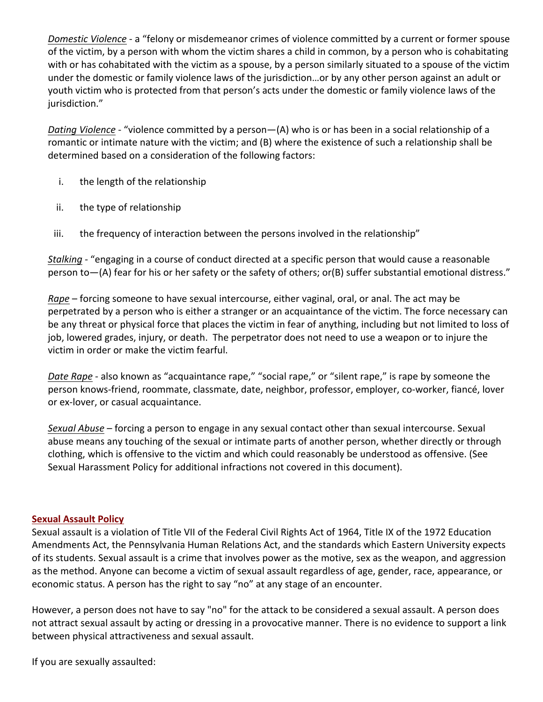*Domestic Violence* - a "felony or misdemeanor crimes of violence committed by a current or former spouse of the victim, by a person with whom the victim shares a child in common, by a person who is cohabitating with or has cohabitated with the victim as a spouse, by a person similarly situated to a spouse of the victim under the domestic or family violence laws of the jurisdiction...or by any other person against an adult or youth victim who is protected from that person's acts under the domestic or family violence laws of the jurisdiction."

*Dating Violence* - "violence committed by a person—(A) who is or has been in a social relationship of a romantic or intimate nature with the victim; and (B) where the existence of such a relationship shall be determined based on a consideration of the following factors:

- i. the length of the relationship
- ii. the type of relationship
- iii. the frequency of interaction between the persons involved in the relationship"

*Stalking -* "engaging in a course of conduct directed at a specific person that would cause a reasonable person to-(A) fear for his or her safety or the safety of others; or(B) suffer substantial emotional distress."

*Rape* – forcing someone to have sexual intercourse, either vaginal, oral, or anal. The act may be perpetrated by a person who is either a stranger or an acquaintance of the victim. The force necessary can be any threat or physical force that places the victim in fear of anything, including but not limited to loss of job, lowered grades, injury, or death. The perpetrator does not need to use a weapon or to injure the victim in order or make the victim fearful.

*Date Rape* - also known as "acquaintance rape," "social rape," or "silent rape," is rape by someone the person knows-friend, roommate, classmate, date, neighbor, professor, employer, co-worker, fiancé, lover or ex-lover, or casual acquaintance.

*Sexual Abuse* – forcing a person to engage in any sexual contact other than sexual intercourse. Sexual abuse means any touching of the sexual or intimate parts of another person, whether directly or through clothing, which is offensive to the victim and which could reasonably be understood as offensive. (See Sexual Harassment Policy for additional infractions not covered in this document).

## **Sexual Assault Policy**

Sexual assault is a violation of Title VII of the Federal Civil Rights Act of 1964, Title IX of the 1972 Education Amendments Act, the Pennsylvania Human Relations Act, and the standards which Eastern University expects of its students. Sexual assault is a crime that involves power as the motive, sex as the weapon, and aggression as the method. Anyone can become a victim of sexual assault regardless of age, gender, race, appearance, or economic status. A person has the right to say "no" at any stage of an encounter.

However, a person does not have to say "no" for the attack to be considered a sexual assault. A person does not attract sexual assault by acting or dressing in a provocative manner. There is no evidence to support a link between physical attractiveness and sexual assault.

If you are sexually assaulted: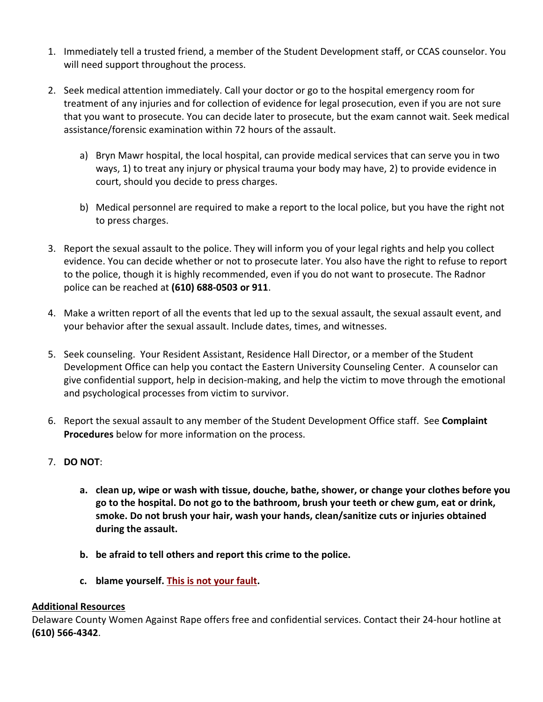- 1. Immediately tell a trusted friend, a member of the Student Development staff, or CCAS counselor. You will need support throughout the process.
- 2. Seek medical attention immediately. Call your doctor or go to the hospital emergency room for treatment of any injuries and for collection of evidence for legal prosecution, even if you are not sure that you want to prosecute. You can decide later to prosecute, but the exam cannot wait. Seek medical assistance/forensic examination within 72 hours of the assault.
	- a) Bryn Mawr hospital, the local hospital, can provide medical services that can serve you in two ways, 1) to treat any injury or physical trauma your body may have, 2) to provide evidence in court, should you decide to press charges.
	- b) Medical personnel are required to make a report to the local police, but you have the right not to press charges.
- 3. Report the sexual assault to the police. They will inform you of your legal rights and help you collect evidence. You can decide whether or not to prosecute later. You also have the right to refuse to report to the police, though it is highly recommended, even if you do not want to prosecute. The Radnor police can be reached at **(610) 688-0503 or 911**.
- 4. Make a written report of all the events that led up to the sexual assault, the sexual assault event, and your behavior after the sexual assault. Include dates, times, and witnesses.
- 5. Seek counseling. Your Resident Assistant, Residence Hall Director, or a member of the Student Development Office can help you contact the Eastern University Counseling Center. A counselor can give confidential support, help in decision-making, and help the victim to move through the emotional and psychological processes from victim to survivor.
- 6. Report the sexual assault to any member of the Student Development Office staff. See **Complaint Procedures** below for more information on the process.
- 7. **DO NOT**:
	- a. clean up, wipe or wash with tissue, douche, bathe, shower, or change your clothes before you go to the hospital. Do not go to the bathroom, brush your teeth or chew gum, eat or drink, smoke. Do not brush your hair, wash your hands, clean/sanitize cuts or injuries obtained during the assault.
	- **b.** be afraid to tell others and report this crime to the police.
	- **c.** blame yourself. This is not your fault.

### **Additional Resources**

Delaware County Women Against Rape offers free and confidential services. Contact their 24-hour hotline at **(610) 566-4342**.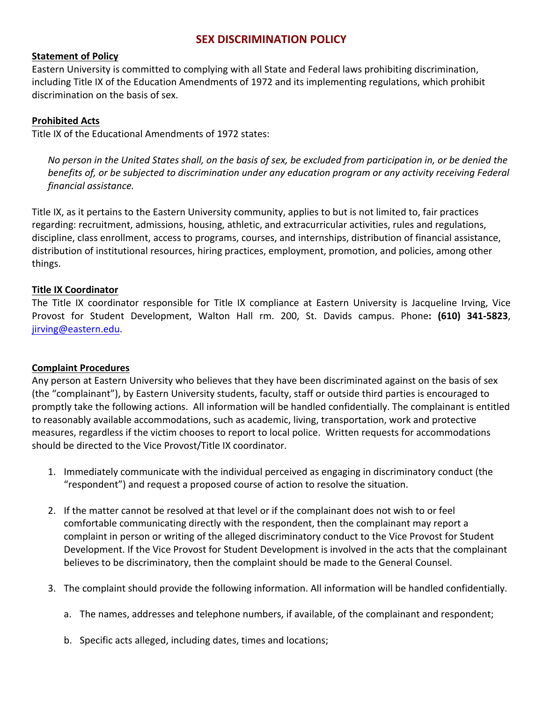# **SEX DISCRIMINATION POLICY**

## **Statement of Policy**

Eastern University is committed to complying with all State and Federal laws prohibiting discrimination, including Title IX of the Education Amendments of 1972 and its implementing regulations, which prohibit discrimination on the basis of sex.

## **Prohibited Acts**

Title IX of the Educational Amendments of 1972 states:

*No person in the United States shall, on the basis of sex, be excluded from participation in, or be denied the benefits* of, or be subjected to discrimination under any education program or any activity receiving Federal *financial assistance.*

Title IX, as it pertains to the Eastern University community, applies to but is not limited to, fair practices regarding: recruitment, admissions, housing, athletic, and extracurricular activities, rules and regulations, discipline, class enrollment, access to programs, courses, and internships, distribution of financial assistance, distribution of institutional resources, hiring practices, employment, promotion, and policies, among other things.

## **Title IX Coordinator**

The Title IX coordinator responsible for Title IX compliance at Eastern University is Jacqueline Irving, Vice Provost for Student Development, Walton Hall rm. 200, St. Davids campus. Phone: (610) 341-5823, jirving@eastern.edu.

### **Complaint Procedures**

Any person at Eastern University who believes that they have been discriminated against on the basis of sex (the "complainant"), by Eastern University students, faculty, staff or outside third parties is encouraged to promptly take the following actions. All information will be handled confidentially. The complainant is entitled to reasonably available accommodations, such as academic, living, transportation, work and protective measures, regardless if the victim chooses to report to local police. Written requests for accommodations should be directed to the Vice Provost/Title IX coordinator.

- 1. Immediately communicate with the individual perceived as engaging in discriminatory conduct (the "respondent") and request a proposed course of action to resolve the situation.
- 2. If the matter cannot be resolved at that level or if the complainant does not wish to or feel comfortable communicating directly with the respondent, then the complainant may report a complaint in person or writing of the alleged discriminatory conduct to the Vice Provost for Student Development. If the Vice Provost for Student Development is involved in the acts that the complainant believes to be discriminatory, then the complaint should be made to the General Counsel.
- 3. The complaint should provide the following information. All information will be handled confidentially.
	- a. The names, addresses and telephone numbers, if available, of the complainant and respondent;
	- b. Specific acts alleged, including dates, times and locations;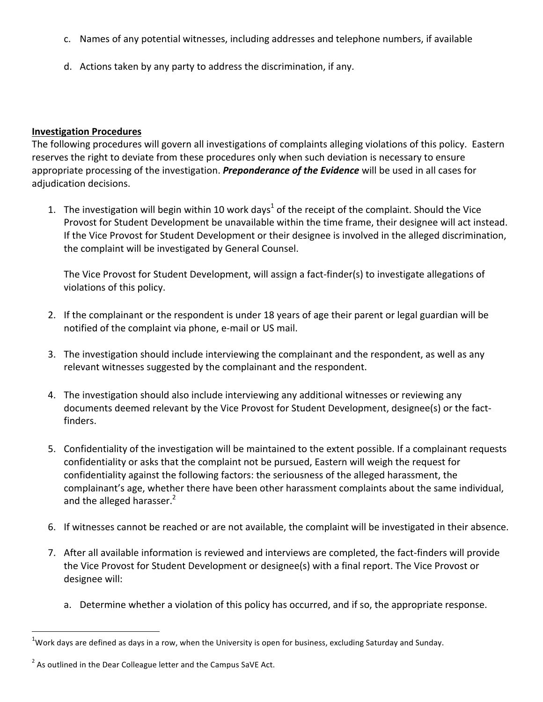- c. Names of any potential witnesses, including addresses and telephone numbers, if available
- d. Actions taken by any party to address the discrimination, if any.

## **Investigation Procedures**

The following procedures will govern all investigations of complaints alleging violations of this policy. Eastern reserves the right to deviate from these procedures only when such deviation is necessary to ensure appropriate processing of the investigation. *Preponderance of the Evidence* will be used in all cases for adjudication decisions.

1. The investigation will begin within 10 work days<sup>1</sup> of the receipt of the complaint. Should the Vice Provost for Student Development be unavailable within the time frame, their designee will act instead. If the Vice Provost for Student Development or their designee is involved in the alleged discrimination, the complaint will be investigated by General Counsel.

The Vice Provost for Student Development, will assign a fact-finder(s) to investigate allegations of violations of this policy.

- 2. If the complainant or the respondent is under 18 years of age their parent or legal guardian will be notified of the complaint via phone, e-mail or US mail.
- 3. The investigation should include interviewing the complainant and the respondent, as well as any relevant witnesses suggested by the complainant and the respondent.
- 4. The investigation should also include interviewing any additional witnesses or reviewing any documents deemed relevant by the Vice Provost for Student Development, designee(s) or the factfinders.
- 5. Confidentiality of the investigation will be maintained to the extent possible. If a complainant requests confidentiality or asks that the complaint not be pursued, Eastern will weigh the request for confidentiality against the following factors: the seriousness of the alleged harassment, the complainant's age, whether there have been other harassment complaints about the same individual, and the alleged harasser. $2$
- 6. If witnesses cannot be reached or are not available, the complaint will be investigated in their absence.
- 7. After all available information is reviewed and interviews are completed, the fact-finders will provide the Vice Provost for Student Development or designee(s) with a final report. The Vice Provost or designee will:
	- a. Determine whether a violation of this policy has occurred, and if so, the appropriate response.

 

 $^1$ Work days are defined as days in a row, when the University is open for business, excluding Saturday and Sunday.

 $2$  As outlined in the Dear Colleague letter and the Campus SaVE Act.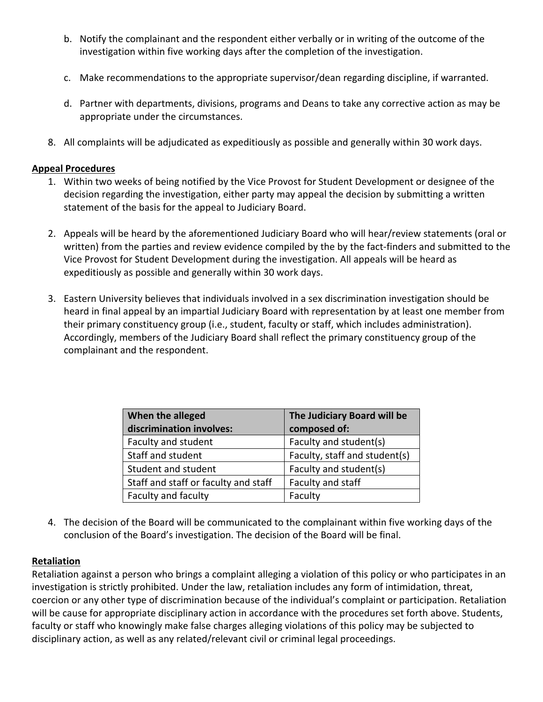- b. Notify the complainant and the respondent either verbally or in writing of the outcome of the investigation within five working days after the completion of the investigation.
- c. Make recommendations to the appropriate supervisor/dean regarding discipline, if warranted.
- d. Partner with departments, divisions, programs and Deans to take any corrective action as may be appropriate under the circumstances.
- 8. All complaints will be adjudicated as expeditiously as possible and generally within 30 work days.

## **Appeal Procedures**

- 1. Within two weeks of being notified by the Vice Provost for Student Development or designee of the decision regarding the investigation, either party may appeal the decision by submitting a written statement of the basis for the appeal to Judiciary Board.
- 2. Appeals will be heard by the aforementioned Judiciary Board who will hear/review statements (oral or written) from the parties and review evidence compiled by the by the fact-finders and submitted to the Vice Provost for Student Development during the investigation. All appeals will be heard as expeditiously as possible and generally within 30 work days.
- 3. Eastern University believes that individuals involved in a sex discrimination investigation should be heard in final appeal by an impartial Judiciary Board with representation by at least one member from their primary constituency group (i.e., student, faculty or staff, which includes administration). Accordingly, members of the Judiciary Board shall reflect the primary constituency group of the complainant and the respondent.

| When the alleged                     | The Judiciary Board will be   |
|--------------------------------------|-------------------------------|
| discrimination involves:             | composed of:                  |
| Faculty and student                  | Faculty and student(s)        |
| Staff and student                    | Faculty, staff and student(s) |
| Student and student                  | Faculty and student(s)        |
| Staff and staff or faculty and staff | Faculty and staff             |
| Faculty and faculty                  | Faculty                       |

4. The decision of the Board will be communicated to the complainant within five working days of the conclusion of the Board's investigation. The decision of the Board will be final.

## **Retaliation**

Retaliation against a person who brings a complaint alleging a violation of this policy or who participates in an investigation is strictly prohibited. Under the law, retaliation includes any form of intimidation, threat, coercion or any other type of discrimination because of the individual's complaint or participation. Retaliation will be cause for appropriate disciplinary action in accordance with the procedures set forth above. Students, faculty or staff who knowingly make false charges alleging violations of this policy may be subjected to disciplinary action, as well as any related/relevant civil or criminal legal proceedings.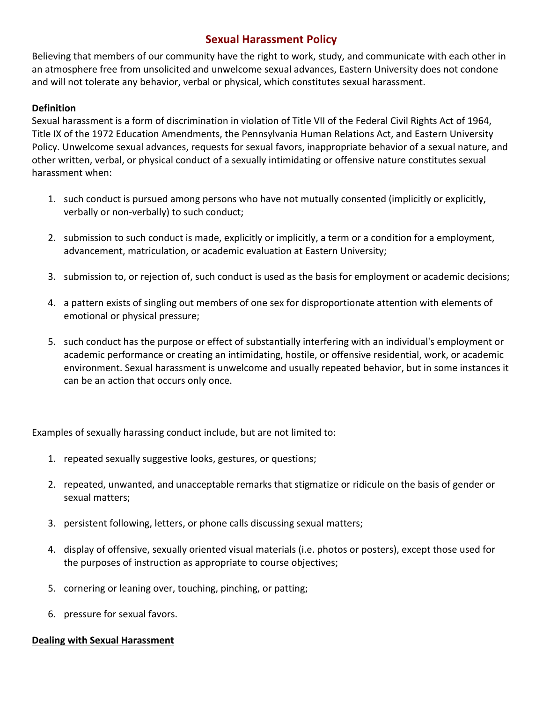# **Sexual Harassment Policy**

Believing that members of our community have the right to work, study, and communicate with each other in an atmosphere free from unsolicited and unwelcome sexual advances, Eastern University does not condone and will not tolerate any behavior, verbal or physical, which constitutes sexual harassment.

## **Definition**

Sexual harassment is a form of discrimination in violation of Title VII of the Federal Civil Rights Act of 1964, Title IX of the 1972 Education Amendments, the Pennsylvania Human Relations Act, and Eastern University Policy. Unwelcome sexual advances, requests for sexual favors, inappropriate behavior of a sexual nature, and other written, verbal, or physical conduct of a sexually intimidating or offensive nature constitutes sexual harassment when:

- 1. such conduct is pursued among persons who have not mutually consented (implicitly or explicitly, verbally or non-verbally) to such conduct;
- 2. submission to such conduct is made, explicitly or implicitly, a term or a condition for a employment, advancement, matriculation, or academic evaluation at Eastern University;
- 3. submission to, or rejection of, such conduct is used as the basis for employment or academic decisions;
- 4. a pattern exists of singling out members of one sex for disproportionate attention with elements of emotional or physical pressure;
- 5. such conduct has the purpose or effect of substantially interfering with an individual's employment or academic performance or creating an intimidating, hostile, or offensive residential, work, or academic environment. Sexual harassment is unwelcome and usually repeated behavior, but in some instances it can be an action that occurs only once.

Examples of sexually harassing conduct include, but are not limited to:

- 1. repeated sexually suggestive looks, gestures, or questions;
- 2. repeated, unwanted, and unacceptable remarks that stigmatize or ridicule on the basis of gender or sexual matters;
- 3. persistent following, letters, or phone calls discussing sexual matters;
- 4. display of offensive, sexually oriented visual materials (i.e. photos or posters), except those used for the purposes of instruction as appropriate to course objectives;
- 5. cornering or leaning over, touching, pinching, or patting;
- 6. pressure for sexual favors.

### **Dealing with Sexual Harassment**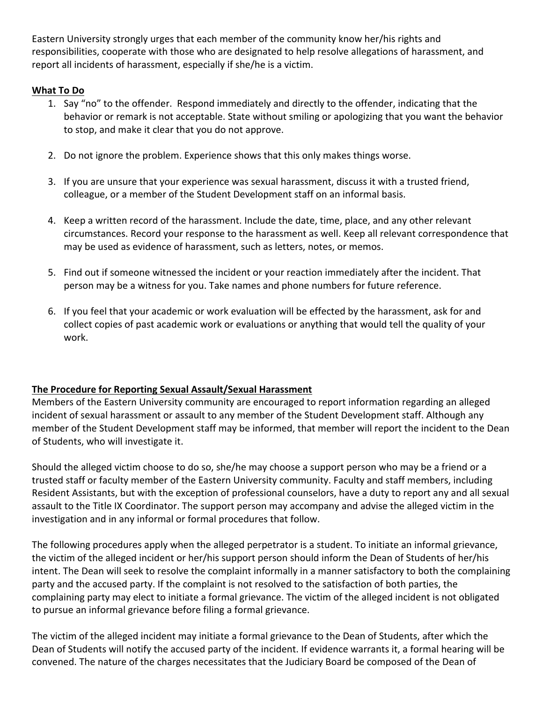Eastern University strongly urges that each member of the community know her/his rights and responsibilities, cooperate with those who are designated to help resolve allegations of harassment, and report all incidents of harassment, especially if she/he is a victim.

# **What To Do**

- 1. Say "no" to the offender. Respond immediately and directly to the offender, indicating that the behavior or remark is not acceptable. State without smiling or apologizing that you want the behavior to stop, and make it clear that you do not approve.
- 2. Do not ignore the problem. Experience shows that this only makes things worse.
- 3. If you are unsure that your experience was sexual harassment, discuss it with a trusted friend, colleague, or a member of the Student Development staff on an informal basis.
- 4. Keep a written record of the harassment. Include the date, time, place, and any other relevant circumstances. Record your response to the harassment as well. Keep all relevant correspondence that may be used as evidence of harassment, such as letters, notes, or memos.
- 5. Find out if someone witnessed the incident or your reaction immediately after the incident. That person may be a witness for you. Take names and phone numbers for future reference.
- 6. If you feel that your academic or work evaluation will be effected by the harassment, ask for and collect copies of past academic work or evaluations or anything that would tell the quality of your work.

# **The Procedure for Reporting Sexual Assault/Sexual Harassment**

Members of the Eastern University community are encouraged to report information regarding an alleged incident of sexual harassment or assault to any member of the Student Development staff. Although any member of the Student Development staff may be informed, that member will report the incident to the Dean of Students, who will investigate it.

Should the alleged victim choose to do so, she/he may choose a support person who may be a friend or a trusted staff or faculty member of the Eastern University community. Faculty and staff members, including Resident Assistants, but with the exception of professional counselors, have a duty to report any and all sexual assault to the Title IX Coordinator. The support person may accompany and advise the alleged victim in the investigation and in any informal or formal procedures that follow.

The following procedures apply when the alleged perpetrator is a student. To initiate an informal grievance, the victim of the alleged incident or her/his support person should inform the Dean of Students of her/his intent. The Dean will seek to resolve the complaint informally in a manner satisfactory to both the complaining party and the accused party. If the complaint is not resolved to the satisfaction of both parties, the complaining party may elect to initiate a formal grievance. The victim of the alleged incident is not obligated to pursue an informal grievance before filing a formal grievance.

The victim of the alleged incident may initiate a formal grievance to the Dean of Students, after which the Dean of Students will notify the accused party of the incident. If evidence warrants it, a formal hearing will be convened. The nature of the charges necessitates that the Judiciary Board be composed of the Dean of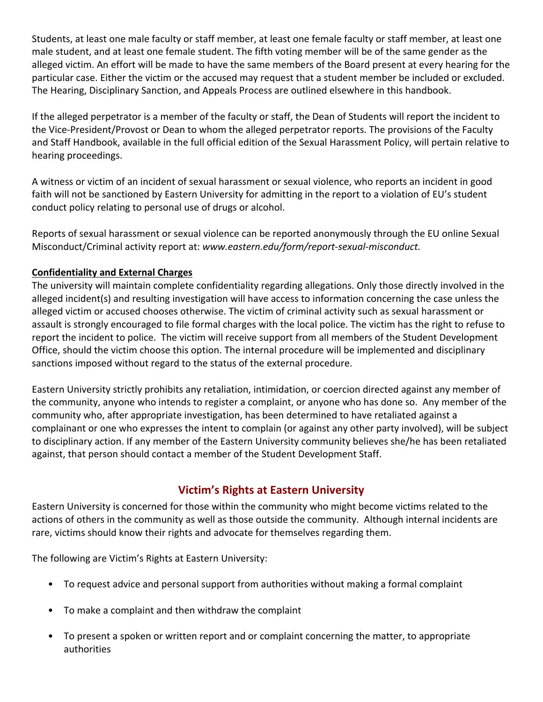Students, at least one male faculty or staff member, at least one female faculty or staff member, at least one male student, and at least one female student. The fifth voting member will be of the same gender as the alleged victim. An effort will be made to have the same members of the Board present at every hearing for the particular case. Either the victim or the accused may request that a student member be included or excluded. The Hearing, Disciplinary Sanction, and Appeals Process are outlined elsewhere in this handbook.

If the alleged perpetrator is a member of the faculty or staff, the Dean of Students will report the incident to the Vice-President/Provost or Dean to whom the alleged perpetrator reports. The provisions of the Faculty and Staff Handbook, available in the full official edition of the Sexual Harassment Policy, will pertain relative to hearing proceedings.

A witness or victim of an incident of sexual harassment or sexual violence, who reports an incident in good faith will not be sanctioned by Eastern University for admitting in the report to a violation of EU's student conduct policy relating to personal use of drugs or alcohol.

Reports of sexual harassment or sexual violence can be reported anonymously through the EU online Sexual Misconduct/Criminal activity report at: www.eastern.edu/form/report-sexual-misconduct.

# **Confidentiality and External Charges**

The university will maintain complete confidentiality regarding allegations. Only those directly involved in the alleged incident(s) and resulting investigation will have access to information concerning the case unless the alleged victim or accused chooses otherwise. The victim of criminal activity such as sexual harassment or assault is strongly encouraged to file formal charges with the local police. The victim has the right to refuse to report the incident to police. The victim will receive support from all members of the Student Development Office, should the victim choose this option. The internal procedure will be implemented and disciplinary sanctions imposed without regard to the status of the external procedure.

Eastern University strictly prohibits any retaliation, intimidation, or coercion directed against any member of the community, anyone who intends to register a complaint, or anyone who has done so. Any member of the community who, after appropriate investigation, has been determined to have retaliated against a complainant or one who expresses the intent to complain (or against any other party involved), will be subject to disciplinary action. If any member of the Eastern University community believes she/he has been retaliated against, that person should contact a member of the Student Development Staff.

# **Victim's Rights at Eastern University**

Eastern University is concerned for those within the community who might become victims related to the actions of others in the community as well as those outside the community. Although internal incidents are rare, victims should know their rights and advocate for themselves regarding them.

The following are Victim's Rights at Eastern University:

- To request advice and personal support from authorities without making a formal complaint
- To make a complaint and then withdraw the complaint
- To present a spoken or written report and or complaint concerning the matter, to appropriate authorities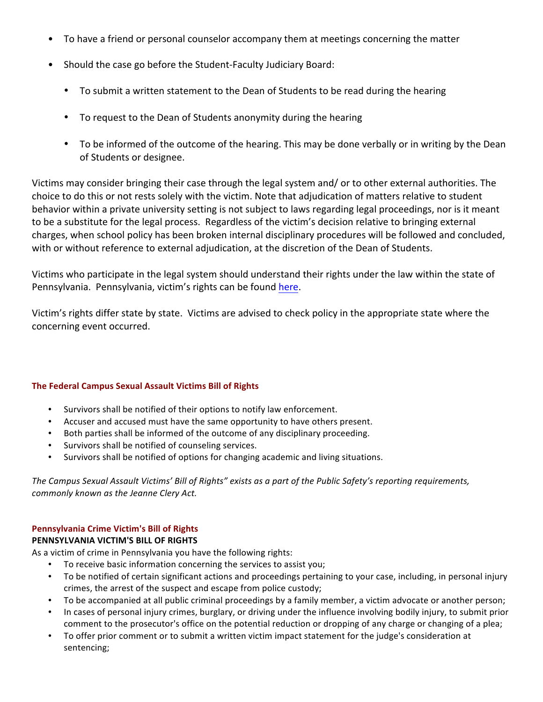- To have a friend or personal counselor accompany them at meetings concerning the matter
- Should the case go before the Student-Faculty Judiciary Board:
	- To submit a written statement to the Dean of Students to be read during the hearing
	- To request to the Dean of Students anonymity during the hearing
	- To be informed of the outcome of the hearing. This may be done verbally or in writing by the Dean of Students or designee.

Victims may consider bringing their case through the legal system and/ or to other external authorities. The choice to do this or not rests solely with the victim. Note that adjudication of matters relative to student behavior within a private university setting is not subject to laws regarding legal proceedings, nor is it meant to be a substitute for the legal process. Regardless of the victim's decision relative to bringing external charges, when school policy has been broken internal disciplinary procedures will be followed and concluded, with or without reference to external adjudication, at the discretion of the Dean of Students.

Victims who participate in the legal system should understand their rights under the law within the state of Pennsylvania. Pennsylvania, victim's rights can be found here.

Victim's rights differ state by state. Victims are advised to check policy in the appropriate state where the concerning event occurred.

### **The Federal Campus Sexual Assault Victims Bill of Rights**

- Survivors shall be notified of their options to notify law enforcement.
- Accuser and accused must have the same opportunity to have others present.
- Both parties shall be informed of the outcome of any disciplinary proceeding.
- Survivors shall be notified of counseling services.
- Survivors shall be notified of options for changing academic and living situations.

The Campus Sexual Assault Victims' Bill of Rights" exists as a part of the Public Safety's reporting requirements, *commonly known as the Jeanne Clery Act.*

## **Pennsylvania Crime Victim's Bill of Rights**

### **PENNSYLVANIA VICTIM'S BILL OF RIGHTS**

As a victim of crime in Pennsylvania you have the following rights:

- To receive basic information concerning the services to assist you;
- To be notified of certain significant actions and proceedings pertaining to your case, including, in personal injury crimes, the arrest of the suspect and escape from police custody;
- To be accompanied at all public criminal proceedings by a family member, a victim advocate or another person;
- In cases of personal injury crimes, burglary, or driving under the influence involving bodily injury, to submit prior comment to the prosecutor's office on the potential reduction or dropping of any charge or changing of a plea;
- To offer prior comment or to submit a written victim impact statement for the judge's consideration at sentencing;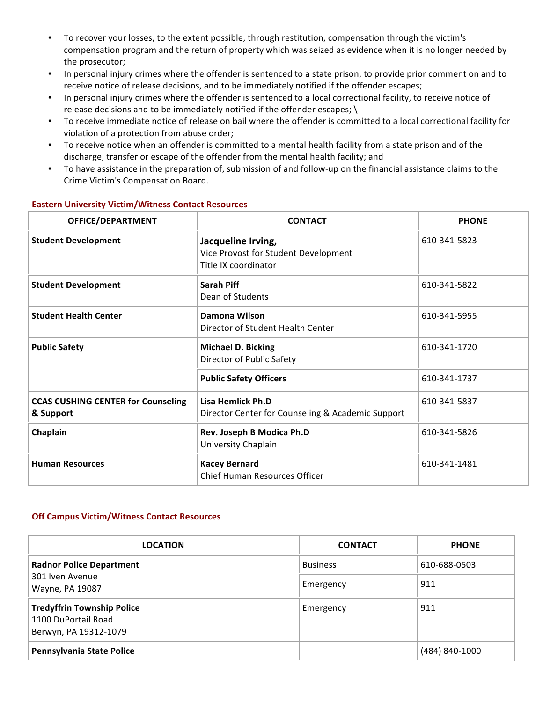- To recover your losses, to the extent possible, through restitution, compensation through the victim's compensation program and the return of property which was seized as evidence when it is no longer needed by the prosecutor;
- In personal injury crimes where the offender is sentenced to a state prison, to provide prior comment on and to receive notice of release decisions, and to be immediately notified if the offender escapes;
- In personal injury crimes where the offender is sentenced to a local correctional facility, to receive notice of release decisions and to be immediately notified if the offender escapes;  $\setminus$
- To receive immediate notice of release on bail where the offender is committed to a local correctional facility for violation of a protection from abuse order;
- To receive notice when an offender is committed to a mental health facility from a state prison and of the discharge, transfer or escape of the offender from the mental health facility; and
- To have assistance in the preparation of, submission of and follow-up on the financial assistance claims to the Crime Victim's Compensation Board.

| OFFICE/DEPARTMENT                                      | <b>CONTACT</b>                                                                     | <b>PHONE</b> |
|--------------------------------------------------------|------------------------------------------------------------------------------------|--------------|
| <b>Student Development</b>                             | Jacqueline Irving,<br>Vice Provost for Student Development<br>Title IX coordinator | 610-341-5823 |
| <b>Student Development</b>                             | Sarah Piff<br>Dean of Students                                                     | 610-341-5822 |
| <b>Student Health Center</b>                           | Damona Wilson<br>Director of Student Health Center                                 | 610-341-5955 |
| <b>Public Safety</b>                                   | <b>Michael D. Bicking</b><br>Director of Public Safety                             | 610-341-1720 |
|                                                        | <b>Public Safety Officers</b>                                                      | 610-341-1737 |
| <b>CCAS CUSHING CENTER for Counseling</b><br>& Support | Lisa Hemlick Ph.D<br>Director Center for Counseling & Academic Support             | 610-341-5837 |
| Chaplain                                               | Rev. Joseph B Modica Ph.D<br>University Chaplain                                   | 610-341-5826 |
| <b>Human Resources</b>                                 | <b>Kacey Bernard</b><br><b>Chief Human Resources Officer</b>                       | 610-341-1481 |

## **Eastern University Victim/Witness Contact Resources**

### **Off Campus Victim/Witness Contact Resources**

| <b>LOCATION</b>                                                                   | <b>CONTACT</b>  | <b>PHONE</b>   |  |
|-----------------------------------------------------------------------------------|-----------------|----------------|--|
| <b>Radnor Police Department</b>                                                   | <b>Business</b> | 610-688-0503   |  |
| 301 Iven Avenue<br>Wayne, PA 19087                                                | Emergency       | 911            |  |
| <b>Tredyffrin Township Police</b><br>1100 DuPortail Road<br>Berwyn, PA 19312-1079 | Emergency       | 911            |  |
| Pennsylvania State Police                                                         |                 | (484) 840-1000 |  |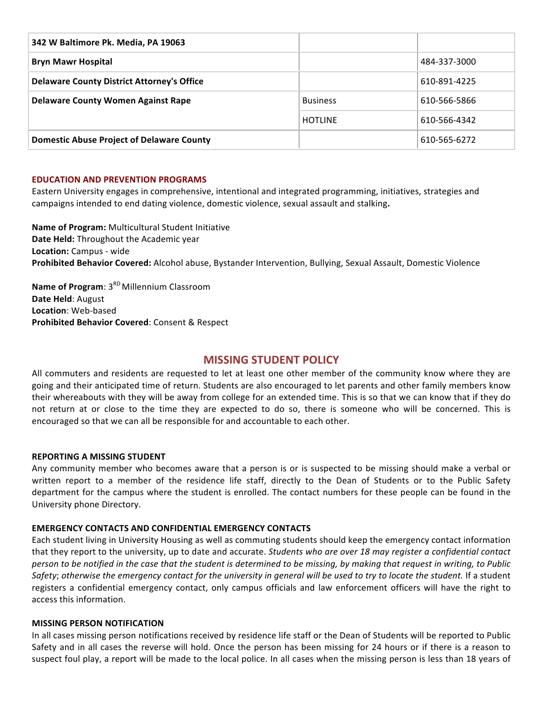| 342 W Baltimore Pk. Media, PA 19063               |                 |              |
|---------------------------------------------------|-----------------|--------------|
| <b>Bryn Mawr Hospital</b>                         |                 | 484-337-3000 |
| <b>Delaware County District Attorney's Office</b> |                 | 610-891-4225 |
| <b>Delaware County Women Against Rape</b>         | <b>Business</b> | 610-566-5866 |
|                                                   | <b>HOTLINE</b>  | 610-566-4342 |
| <b>Domestic Abuse Project of Delaware County</b>  |                 | 610-565-6272 |

### **EDUCATION AND PREVENTION PROGRAMS**

Eastern University engages in comprehensive, intentional and integrated programming, initiatives, strategies and campaigns intended to end dating violence, domestic violence, sexual assault and stalking.

**Name of Program:** Multicultural Student Initiative **Date Held:** Throughout the Academic year **Location:** Campus - wide Prohibited Behavior Covered: Alcohol abuse, Bystander Intervention, Bullying, Sexual Assault, Domestic Violence

**Name of Program:** 3<sup>RD</sup> Millennium Classroom **Date Held: August Location:** Web-based **Prohibited Behavior Covered:** Consent & Respect

### **MISSING STUDENT POLICY**

All commuters and residents are requested to let at least one other member of the community know where they are going and their anticipated time of return. Students are also encouraged to let parents and other family members know their whereabouts with they will be away from college for an extended time. This is so that we can know that if they do not return at or close to the time they are expected to do so, there is someone who will be concerned. This is encouraged so that we can all be responsible for and accountable to each other.

### **REPORTING A MISSING STUDENT**

Any community member who becomes aware that a person is or is suspected to be missing should make a verbal or written report to a member of the residence life staff, directly to the Dean of Students or to the Public Safety department for the campus where the student is enrolled. The contact numbers for these people can be found in the University phone Directory.

### **EMERGENCY CONTACTS AND CONFIDENTIAL EMERGENCY CONTACTS**

Each student living in University Housing as well as commuting students should keep the emergency contact information that they report to the university, up to date and accurate. *Students who are over 18 may register a confidential contact person to be notified in the case that the student is determined to be missing, by making that request in writing, to Public Safety*; otherwise the emergency contact for the university in general will be used to try to locate the student. If a student registers a confidential emergency contact, only campus officials and law enforcement officers will have the right to access this information.

### **MISSING PERSON NOTIFICATION**

In all cases missing person notifications received by residence life staff or the Dean of Students will be reported to Public Safety and in all cases the reverse will hold. Once the person has been missing for 24 hours or if there is a reason to suspect foul play, a report will be made to the local police. In all cases when the missing person is less than 18 years of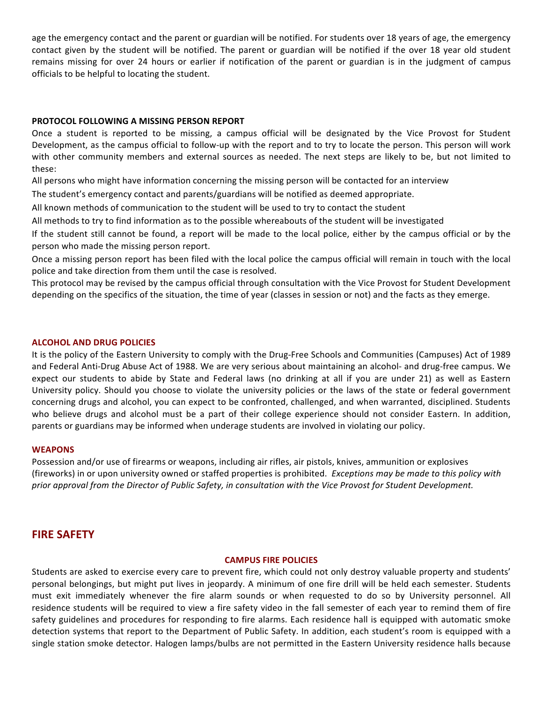age the emergency contact and the parent or guardian will be notified. For students over 18 years of age, the emergency contact given by the student will be notified. The parent or guardian will be notified if the over 18 year old student remains missing for over 24 hours or earlier if notification of the parent or guardian is in the judgment of campus officials to be helpful to locating the student.

### **PROTOCOL FOLLOWING A MISSING PERSON REPORT**

Once a student is reported to be missing, a campus official will be designated by the Vice Provost for Student Development, as the campus official to follow-up with the report and to try to locate the person. This person will work with other community members and external sources as needed. The next steps are likely to be, but not limited to these: 

All persons who might have information concerning the missing person will be contacted for an interview

The student's emergency contact and parents/guardians will be notified as deemed appropriate.

All known methods of communication to the student will be used to try to contact the student

All methods to try to find information as to the possible whereabouts of the student will be investigated

If the student still cannot be found, a report will be made to the local police, either by the campus official or by the person who made the missing person report.

Once a missing person report has been filed with the local police the campus official will remain in touch with the local police and take direction from them until the case is resolved.

This protocol may be revised by the campus official through consultation with the Vice Provost for Student Development depending on the specifics of the situation, the time of year (classes in session or not) and the facts as they emerge.

#### **ALCOHOL AND DRUG POLICIES**

It is the policy of the Eastern University to comply with the Drug-Free Schools and Communities (Campuses) Act of 1989 and Federal Anti-Drug Abuse Act of 1988. We are very serious about maintaining an alcohol- and drug-free campus. We expect our students to abide by State and Federal laws (no drinking at all if you are under 21) as well as Eastern University policy. Should you choose to violate the university policies or the laws of the state or federal government concerning drugs and alcohol, you can expect to be confronted, challenged, and when warranted, disciplined. Students who believe drugs and alcohol must be a part of their college experience should not consider Eastern. In addition, parents or guardians may be informed when underage students are involved in violating our policy.

#### **WEAPONS**

Possession and/or use of firearms or weapons, including air rifles, air pistols, knives, ammunition or explosives (fireworks) in or upon university owned or staffed properties is prohibited. *Exceptions may be made to this policy with* prior approval from the Director of Public Safety, in consultation with the Vice Provost for Student Development.

### **FIRE SAFETY**

### **CAMPUS FIRE POLICIES**

Students are asked to exercise every care to prevent fire, which could not only destroy valuable property and students' personal belongings, but might put lives in jeopardy. A minimum of one fire drill will be held each semester. Students must exit immediately whenever the fire alarm sounds or when requested to do so by University personnel. All residence students will be required to view a fire safety video in the fall semester of each year to remind them of fire safety guidelines and procedures for responding to fire alarms. Each residence hall is equipped with automatic smoke detection systems that report to the Department of Public Safety. In addition, each student's room is equipped with a single station smoke detector. Halogen lamps/bulbs are not permitted in the Eastern University residence halls because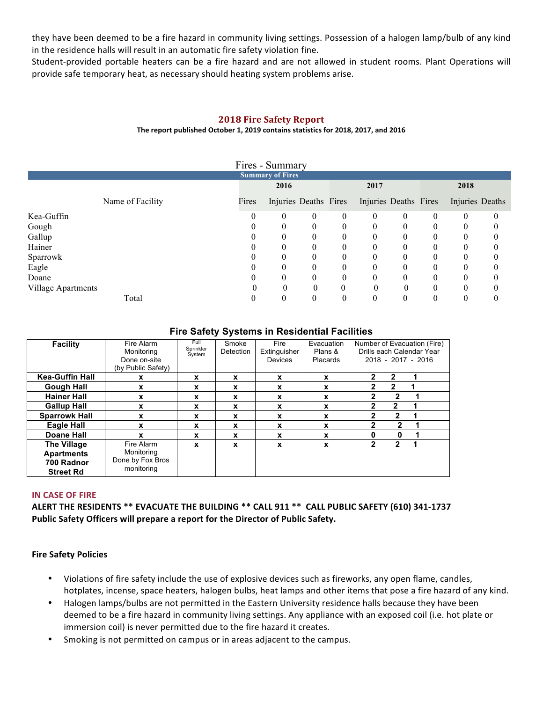they have been deemed to be a fire hazard in community living settings. Possession of a halogen lamp/bulb of any kind in the residence halls will result in an automatic fire safety violation fine.

Student-provided portable heaters can be a fire hazard and are not allowed in student rooms. Plant Operations will provide safe temporary heat, as necessary should heating system problems arise.

### **2018 Fire Safety Report**

### The report published October 1, 2019 contains statistics for 2018, 2017, and 2016

| Fires - Summary         |       |                       |          |          |                       |          |          |                  |   |
|-------------------------|-------|-----------------------|----------|----------|-----------------------|----------|----------|------------------|---|
| <b>Summary of Fires</b> |       |                       |          |          |                       |          |          |                  |   |
|                         |       | 2016                  |          |          | 2017                  |          |          | 2018             |   |
| Name of Facility        | Fires | Injuries Deaths Fires |          |          | Injuries Deaths Fires |          |          | Injuries Deaths  |   |
| Kea-Guffin              | 0     | $\theta$              | 0        | $\theta$ | 0                     | 0        | $\theta$ | $\boldsymbol{0}$ | 0 |
| Gough                   |       | 0                     | $\theta$ | 0        | $\theta$              | $\theta$ | $\Omega$ | 0                |   |
| Gallup                  |       | $\theta$              | $\theta$ | 0        | $\theta$              | $\theta$ | $\theta$ | 0                |   |
| Hainer                  |       |                       | 0        |          | 0                     | $\Omega$ |          | 0                |   |
| Sparrowk                |       | $\theta$              | $\theta$ | 0        | 0                     | $\theta$ | $\Omega$ | 0                |   |
| Eagle                   |       |                       | $\theta$ |          | 0                     | $\theta$ |          | 0                |   |
| Doane                   |       | $\theta$              | $\theta$ | $\theta$ | $\theta$              | $\Omega$ | $\Omega$ | $\theta$         |   |
| Village Apartments      |       | $\Omega$              | $\theta$ | $\theta$ |                       | $\theta$ | $\theta$ | $\theta$         |   |
| Total                   |       | 0                     | 0        | 0        | 0                     |          |          | 0                |   |

### **Fire Safety Systems in Residential Facilities**

| Facility                                                                  | Fire Alarm<br>Monitoring<br>Done on-site<br>(by Public Safety) | Full<br>Sprinkler<br>System | Smoke<br>Detection | Fire<br>Extinguisher<br>Devices | Evacuation<br>Plans &<br>Placards | Number of Evacuation (Fire)<br>Drills each Calendar Year<br>2018 - 2017 - 2016 |
|---------------------------------------------------------------------------|----------------------------------------------------------------|-----------------------------|--------------------|---------------------------------|-----------------------------------|--------------------------------------------------------------------------------|
| <b>Kea-Guffin Hall</b>                                                    | x                                                              | x                           | x                  | $\mathbf x$                     | x                                 | 2<br>2                                                                         |
| <b>Gough Hall</b>                                                         | X                                                              | X                           | X                  | x                               | X                                 | 2<br>$\overline{2}$                                                            |
| <b>Hainer Hall</b>                                                        | X                                                              | X                           | x                  | X                               | x                                 | $\mathbf{2}$                                                                   |
| <b>Gallup Hall</b>                                                        | X                                                              | x                           | x                  | X                               | x                                 | 2<br>2                                                                         |
| <b>Sparrowk Hall</b>                                                      | x                                                              | x                           | x                  | $\mathbf x$                     | x                                 | $\overline{2}$<br>2                                                            |
| <b>Eagle Hall</b>                                                         | x                                                              | x                           | x                  | x                               | x                                 | $\mathbf{2}$                                                                   |
| Doane Hall                                                                | x                                                              | x                           | x                  | x                               | x                                 | 0<br>n                                                                         |
| <b>The Village</b><br><b>Apartments</b><br>700 Radnor<br><b>Street Rd</b> | Fire Alarm<br>Monitoring<br>Done by Fox Bros<br>monitoring     | X                           | x                  | X                               | x                                 | 2<br>2                                                                         |

### **IN CASE OF FIRE**

**ALERT THE RESIDENTS \*\* EVACUATE THE BUILDING \*\* CALL 911 \*\* CALL PUBLIC SAFETY (610) 341-1737** Public Safety Officers will prepare a report for the Director of Public Safety.

### **Fire Safety Policies**

- Violations of fire safety include the use of explosive devices such as fireworks, any open flame, candles, hotplates, incense, space heaters, halogen bulbs, heat lamps and other items that pose a fire hazard of any kind.
- Halogen lamps/bulbs are not permitted in the Eastern University residence halls because they have been deemed to be a fire hazard in community living settings. Any appliance with an exposed coil (i.e. hot plate or immersion coil) is never permitted due to the fire hazard it creates.
- Smoking is not permitted on campus or in areas adjacent to the campus.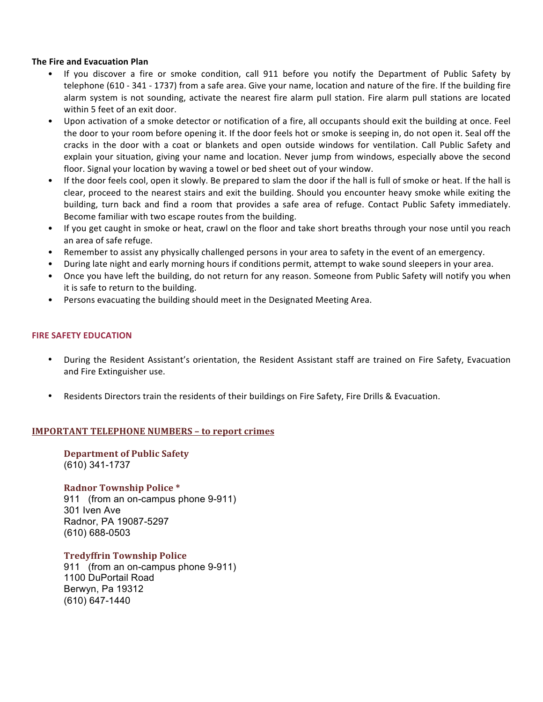### **The Fire and Evacuation Plan**

- If you discover a fire or smoke condition, call 911 before you notify the Department of Public Safety by telephone (610 - 341 - 1737) from a safe area. Give your name, location and nature of the fire. If the building fire alarm system is not sounding, activate the nearest fire alarm pull station. Fire alarm pull stations are located within 5 feet of an exit door.
- Upon activation of a smoke detector or notification of a fire, all occupants should exit the building at once. Feel the door to your room before opening it. If the door feels hot or smoke is seeping in, do not open it. Seal off the cracks in the door with a coat or blankets and open outside windows for ventilation. Call Public Safety and explain your situation, giving your name and location. Never jump from windows, especially above the second floor. Signal your location by waving a towel or bed sheet out of your window.
- If the door feels cool, open it slowly. Be prepared to slam the door if the hall is full of smoke or heat. If the hall is clear, proceed to the nearest stairs and exit the building. Should you encounter heavy smoke while exiting the building, turn back and find a room that provides a safe area of refuge. Contact Public Safety immediately. Become familiar with two escape routes from the building.
- If you get caught in smoke or heat, crawl on the floor and take short breaths through your nose until you reach an area of safe refuge.
- Remember to assist any physically challenged persons in your area to safety in the event of an emergency.
- During late night and early morning hours if conditions permit, attempt to wake sound sleepers in your area.
- Once you have left the building, do not return for any reason. Someone from Public Safety will notify you when it is safe to return to the building.
- Persons evacuating the building should meet in the Designated Meeting Area.

### **FIRE SAFETY FDUCATION**

- During the Resident Assistant's orientation, the Resident Assistant staff are trained on Fire Safety, Evacuation and Fire Extinguisher use.
- Residents Directors train the residents of their buildings on Fire Safety, Fire Drills & Evacuation.

### **IMPORTANT TELEPHONE NUMBERS - to report crimes**

**Department of Public Safety** (610) 341-1737

**Radnor Township Police** \* 911 (from an on-campus phone 9-911) 301 Iven Ave Radnor, PA 19087-5297 (610) 688-0503

**Tredyffrin Township Police** 911 (from an on-campus phone 9-911) 1100 DuPortail Road Berwyn, Pa 19312 (610) 647-1440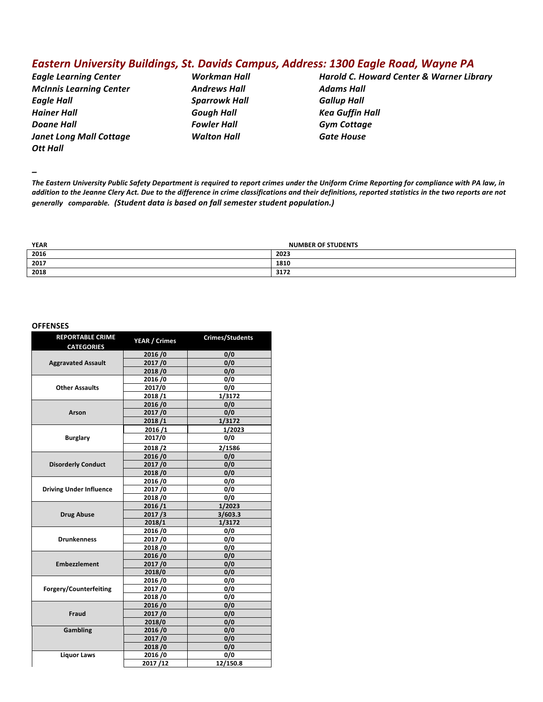## *Eastern University Buildings, St. Davids Campus, Address: 1300 Eagle Road, Wayne PA*

*McInnis Learning Center Andrews Hall Adams Hall Eagle Hall Sparrowk Hall Gallup Hall Hainer Hall Gough Hall Kea Guffin Hall* **Doane Hall Communist Communist Communist Communist Communist Communist Communist Communist Communist Communist Communist Communist Communist Communist Communist Communist Communist Communist Communist Communist Communis** *Janet Long Mall Cottage Walton Hall* **Gate House Ott Hall** 

*Eagle Learning Center Workman Hall Harold C. Howard Center & Warner Library*

*–*

The Eastern University Public Safety Department is required to report crimes under the Uniform Crime Reporting for compliance with PA law, in addition to the Jeanne Clery Act. Due to the difference in crime classifications and their definitions, reported statistics in the two reports are not *generally comparable. (Student data is based on fall semester student population.)*

| <b>YEAR</b> | <b>NUMBER OF STUDENTS</b> |  |  |
|-------------|---------------------------|--|--|
| 2016        | 2023                      |  |  |
| 2017        | 1810                      |  |  |
| 2018        | 3172                      |  |  |

#### **OFFENSES**

| <b>REPORTABLE CRIME</b><br><b>CATEGORIES</b> | YEAR / Crimes | <b>Crimes/Students</b> |        |        |
|----------------------------------------------|---------------|------------------------|--------|--------|
|                                              | 2016/0        | 0/0                    |        |        |
| <b>Aggravated Assault</b>                    | 2017/0        | 0/0                    |        |        |
|                                              | 2018/0        | 0/0                    |        |        |
|                                              | 2016/0        | 0/0                    |        |        |
| <b>Other Assaults</b>                        | 2017/0        | 0/0                    |        |        |
|                                              | 2018/1        | 1/3172                 |        |        |
|                                              | 2016/0        | 0/0                    |        |        |
| <b>Arson</b>                                 | 2017/0        | 0/0                    |        |        |
|                                              | 2018/1        | 1/3172                 |        |        |
|                                              | 2016/1        | 1/2023                 | 1/2023 | 1/2023 |
| <b>Burglary</b>                              | 2017/0        | 0/0                    |        |        |
|                                              | 2018/2        | 2/1586                 |        |        |
|                                              | 2016/0        | 0/0                    |        |        |
| <b>Disorderly Conduct</b>                    | 2017/0        | 0/0                    |        |        |
|                                              | 2018/0        | 0/0                    |        |        |
|                                              | 2016/0        | 0/0                    |        |        |
| <b>Driving Under Influence</b>               | 2017/0        | 0/0                    |        |        |
|                                              | 2018/0        | 0/0                    |        |        |
|                                              | 2016/1        | 1/2023                 |        |        |
| <b>Drug Abuse</b>                            | 2017/3        | 3/603.3                |        |        |
|                                              | 2018/1        | 1/3172                 |        |        |
|                                              | 2016/0        | 0/0                    |        |        |
| <b>Drunkenness</b>                           | 2017/0        | 0/0                    |        |        |
|                                              | 2018/0        | 0/0                    |        |        |
|                                              | 2016/0        | 0/0                    |        |        |
| <b>Embezzlement</b>                          | 2017/0        | 0/0                    |        |        |
|                                              | 2018/0        | 0/0                    |        |        |
|                                              | 2016/0        | 0/0                    |        |        |
| Forgery/Counterfeiting                       | 2017/0        | 0/0                    |        |        |
|                                              | 2018/0        | 0/0                    |        |        |
|                                              | 2016/0        | 0/0                    |        |        |
| Fraud                                        | 2017/0        | 0/0                    |        |        |
|                                              | 2018/0        | 0/0                    |        |        |
| <b>Gambling</b>                              | 2016/0        | 0/0                    |        |        |
|                                              | 2017/0        | 0/0                    |        |        |
|                                              | 2018/0        | 0/0                    |        |        |
| <b>Liquor Laws</b>                           | 2016/0        | 0/0                    |        |        |
|                                              | 2017/12       | 12/150.8               |        |        |